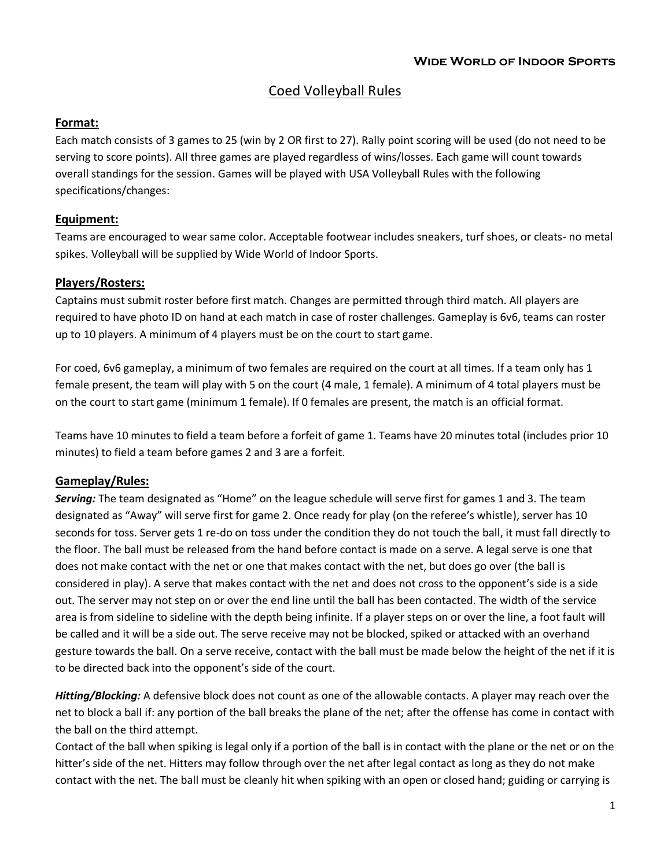# Coed Volleyball Rules

#### **Format:**

Each match consists of 3 games to 25 (win by 2 OR first to 27). Rally point scoring will be used (do not need to be serving to score points). All three games are played regardless of wins/losses. Each game will count towards overall standings for the session. Games will be played with USA Volleyball Rules with the following specifications/changes:

### **Equipment:**

Teams are encouraged to wear same color. Acceptable footwear includes sneakers, turf shoes, or cleats- no metal spikes. Volleyball will be supplied by Wide World of Indoor Sports.

## **Players/Rosters:**

Captains must submit roster before first match. Changes are permitted through third match. All players are required to have photo ID on hand at each match in case of roster challenges. Gameplay is 6v6, teams can roster up to 10 players. A minimum of 4 players must be on the court to start game.

For coed, 6v6 gameplay, a minimum of two females are required on the court at all times. If a team only has 1 female present, the team will play with 5 on the court (4 male, 1 female). A minimum of 4 total players must be on the court to start game (minimum 1 female). If 0 females are present, the match is an official format.

Teams have 10 minutes to field a team before a forfeit of game 1. Teams have 20 minutes total (includes prior 10 minutes) to field a team before games 2 and 3 are a forfeit.

### **Gameplay/Rules:**

*Serving:* The team designated as "Home" on the league schedule will serve first for games 1 and 3. The team designated as "Away" will serve first for game 2. Once ready for play (on the referee's whistle), server has 10 seconds for toss. Server gets 1 re-do on toss under the condition they do not touch the ball, it must fall directly to the floor. The ball must be released from the hand before contact is made on a serve. A legal serve is one that does not make contact with the net or one that makes contact with the net, but does go over (the ball is considered in play). A serve that makes contact with the net and does not cross to the opponent's side is a side out. The server may not step on or over the end line until the ball has been contacted. The width of the service area is from sideline to sideline with the depth being infinite. If a player steps on or over the line, a foot fault will be called and it will be a side out. The serve receive may not be blocked, spiked or attacked with an overhand gesture towards the ball. On a serve receive, contact with the ball must be made below the height of the net if it is to be directed back into the opponent's side of the court.

*Hitting/Blocking:* A defensive block does not count as one of the allowable contacts. A player may reach over the net to block a ball if: any portion of the ball breaks the plane of the net; after the offense has come in contact with the ball on the third attempt.

Contact of the ball when spiking is legal only if a portion of the ball is in contact with the plane or the net or on the hitter's side of the net. Hitters may follow through over the net after legal contact as long as they do not make contact with the net. The ball must be cleanly hit when spiking with an open or closed hand; guiding or carrying is